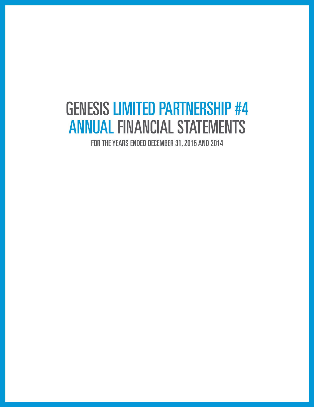# **GENESIS LIMITED PARTNERSHIP #4 ANNUAL FINANCIAL STATEMENTS**

FOR THE YEARS ENDED DECEMBER 31, 2015 AND 2014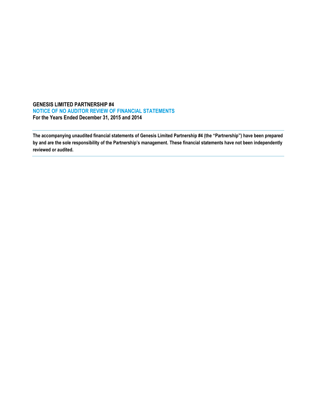## **GENESIS LIMITED PARTNERSHIP #4 NOTICE OF NO AUDITOR REVIEW OF FINANCIAL STATEMENTS For the Years Ended December 31, 2015 and 2014**

**The accompanying unaudited financial statements of Genesis Limited Partnership #4 (the "Partnership") have been prepared by and are the sole responsibility of the Partnership's management. These financial statements have not been independently reviewed or audited.**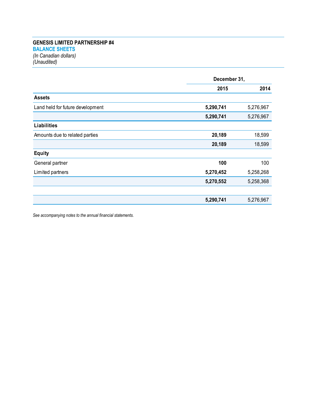## **GENESIS LIMITED PARTNERSHIP #4 BALANCE SHEETS** *(In Canadian dollars) (Unaudited)*

| December 31, |           |
|--------------|-----------|
| 2015         | 2014      |
|              |           |
| 5,290,741    | 5,276,967 |
| 5,290,741    | 5,276,967 |
|              |           |
| 20,189       | 18,599    |
| 20,189       | 18,599    |
|              |           |
| 100          | 100       |
| 5,270,452    | 5,258,268 |
| 5,270,552    | 5,258,368 |
|              |           |
| 5,290,741    | 5,276,967 |
|              |           |

*See accompanying notes to the annual financial statements.*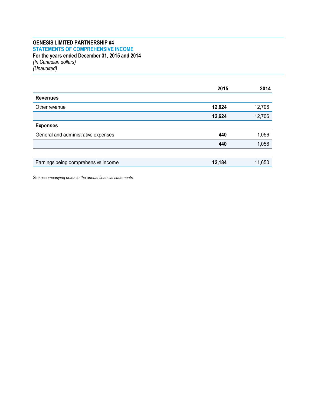## **GENESIS LIMITED PARTNERSHIP #4 STATEMENTS OF COMPREHENSIVE INCOME For the years ended December 31, 2015 and 2014** *(In Canadian dollars)*

*(Unaudited)*

|        | 2014   |
|--------|--------|
|        |        |
| 12,624 | 12,706 |
| 12,624 | 12,706 |
|        |        |
| 440    | 1,056  |
| 440    | 1,056  |
|        |        |
| 12,184 | 11,650 |
|        |        |

*See accompanying notes to the annual financial statements.*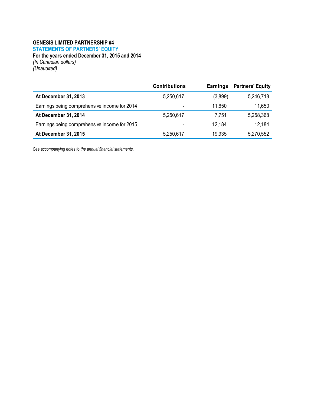## **GENESIS LIMITED PARTNERSHIP #4 STATEMENTS OF PARTNERS' EQUITY For the years ended December 31, 2015 and 2014** *(In Canadian dollars) (Unaudited)*

|                                              | <b>Contributions</b>     | Earnings | <b>Partners' Equity</b> |
|----------------------------------------------|--------------------------|----------|-------------------------|
| At December 31, 2013                         | 5,250,617                | (3,899)  | 5,246,718               |
| Earnings being comprehensive income for 2014 | $\overline{\phantom{0}}$ | 11.650   | 11,650                  |
| At December 31, 2014                         | 5,250,617                | 7,751    | 5,258,368               |
| Earnings being comprehensive income for 2015 | -                        | 12.184   | 12,184                  |
| At December 31, 2015                         | 5,250,617                | 19,935   | 5,270,552               |

*See accompanying notes to the annual financial statements.*